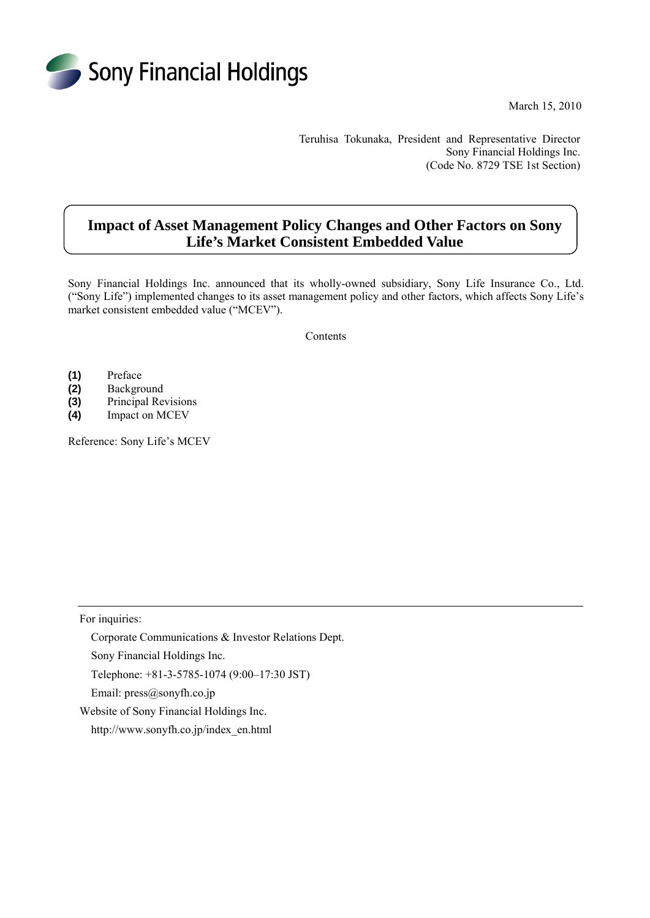

March 15, 2010

Teruhisa Tokunaka, President and Representative Director Sony Financial Holdings Inc. (Code No. 8729 TSE 1st Section)

# **Impact of Asset Management Policy Changes and Other Factors on Sony Life's Market Consistent Embedded Value**

Sony Financial Holdings Inc. announced that its wholly-owned subsidiary, Sony Life Insurance Co., Ltd. ("Sony Life") implemented changes to its asset management policy and other factors, which affects Sony Life's market consistent embedded value ("MCEV").

Contents

- **(1)** Preface
- **(2)** Background
- **(3)** Principal Revisions
- **(4)** Impact on MCEV

Reference: Sony Life's MCEV

For inquiries:

Corporate Communications & Investor Relations Dept.

Sony Financial Holdings Inc.

Telephone: +81-3-5785-1074 (9:00–17:30 JST)

Email: press@sonyfh.co.jp

Website of Sony Financial Holdings Inc.

http://www.sonyfh.co.jp/index\_en.html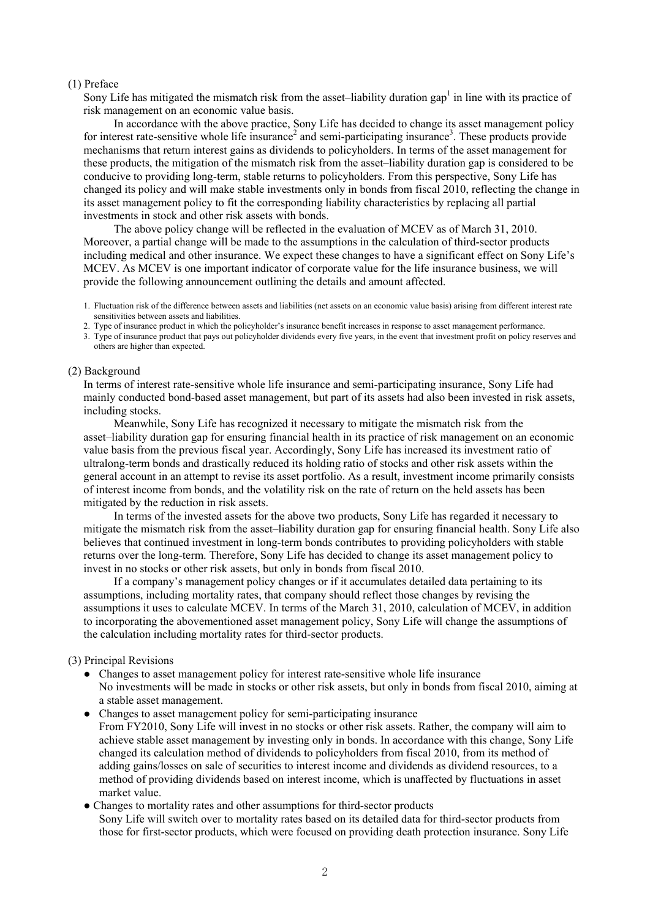### (1) Preface

Sony Life has mitigated the mismatch risk from the asset-liability duration gap<sup>1</sup> in line with its practice of risk management on an economic value basis.

 In accordance with the above practice, Sony Life has decided to change its asset management policy for interest rate-sensitive whole life insurance<sup>2</sup> and semi-participating insurance<sup>3</sup>. These products provide mechanisms that return interest gains as dividends to policyholders. In terms of the asset management for these products, the mitigation of the mismatch risk from the asset–liability duration gap is considered to be conducive to providing long-term, stable returns to policyholders. From this perspective, Sony Life has changed its policy and will make stable investments only in bonds from fiscal 2010, reflecting the change in its asset management policy to fit the corresponding liability characteristics by replacing all partial investments in stock and other risk assets with bonds.

 The above policy change will be reflected in the evaluation of MCEV as of March 31, 2010. Moreover, a partial change will be made to the assumptions in the calculation of third-sector products including medical and other insurance. We expect these changes to have a significant effect on Sony Life's MCEV. As MCEV is one important indicator of corporate value for the life insurance business, we will provide the following announcement outlining the details and amount affected.

1. Fluctuation risk of the difference between assets and liabilities (net assets on an economic value basis) arising from different interest rate sensitivities between assets and liabilities.

- 2. Type of insurance product in which the policyholder's insurance benefit increases in response to asset management performance.
- 3. Type of insurance product that pays out policyholder dividends every five years, in the event that investment profit on policy reserves and others are higher than expected.

### (2) Background

In terms of interest rate-sensitive whole life insurance and semi-participating insurance, Sony Life had mainly conducted bond-based asset management, but part of its assets had also been invested in risk assets, including stocks.

 Meanwhile, Sony Life has recognized it necessary to mitigate the mismatch risk from the asset–liability duration gap for ensuring financial health in its practice of risk management on an economic value basis from the previous fiscal year. Accordingly, Sony Life has increased its investment ratio of ultralong-term bonds and drastically reduced its holding ratio of stocks and other risk assets within the general account in an attempt to revise its asset portfolio. As a result, investment income primarily consists of interest income from bonds, and the volatility risk on the rate of return on the held assets has been mitigated by the reduction in risk assets.

 In terms of the invested assets for the above two products, Sony Life has regarded it necessary to mitigate the mismatch risk from the asset–liability duration gap for ensuring financial health. Sony Life also believes that continued investment in long-term bonds contributes to providing policyholders with stable returns over the long-term. Therefore, Sony Life has decided to change its asset management policy to invest in no stocks or other risk assets, but only in bonds from fiscal 2010.

 If a company's management policy changes or if it accumulates detailed data pertaining to its assumptions, including mortality rates, that company should reflect those changes by revising the assumptions it uses to calculate MCEV. In terms of the March 31, 2010, calculation of MCEV, in addition to incorporating the abovementioned asset management policy, Sony Life will change the assumptions of the calculation including mortality rates for third-sector products.

## (3) Principal Revisions

- Changes to asset management policy for interest rate-sensitive whole life insurance No investments will be made in stocks or other risk assets, but only in bonds from fiscal 2010, aiming at a stable asset management.
- Changes to asset management policy for semi-participating insurance From FY2010, Sony Life will invest in no stocks or other risk assets. Rather, the company will aim to achieve stable asset management by investing only in bonds. In accordance with this change, Sony Life changed its calculation method of dividends to policyholders from fiscal 2010, from its method of adding gains/losses on sale of securities to interest income and dividends as dividend resources, to a method of providing dividends based on interest income, which is unaffected by fluctuations in asset market value.
- Changes to mortality rates and other assumptions for third-sector products Sony Life will switch over to mortality rates based on its detailed data for third-sector products from those for first-sector products, which were focused on providing death protection insurance. Sony Life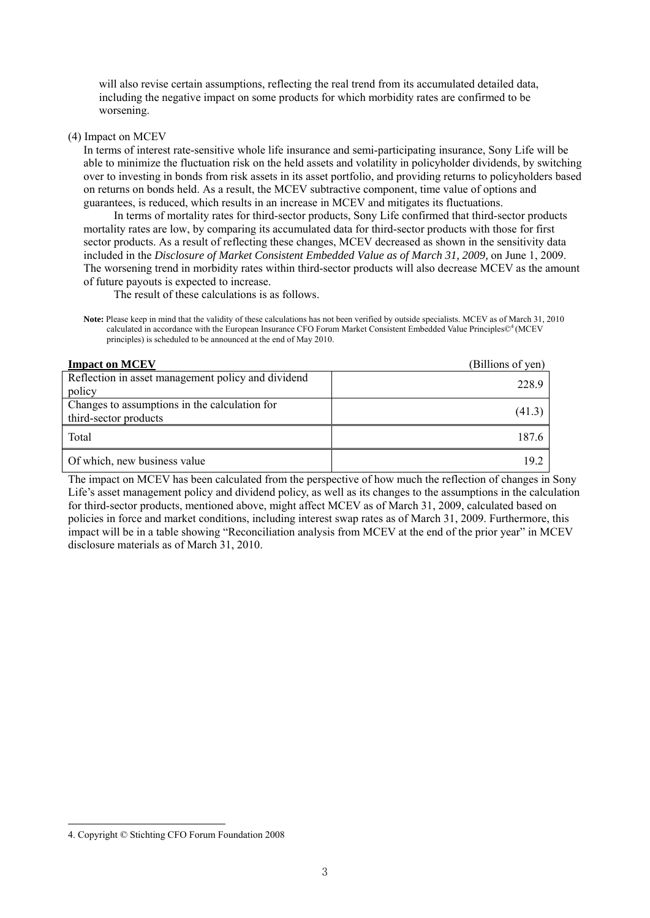will also revise certain assumptions, reflecting the real trend from its accumulated detailed data, including the negative impact on some products for which morbidity rates are confirmed to be worsening.

(4) Impact on MCEV

In terms of interest rate-sensitive whole life insurance and semi-participating insurance, Sony Life will be able to minimize the fluctuation risk on the held assets and volatility in policyholder dividends, by switching over to investing in bonds from risk assets in its asset portfolio, and providing returns to policyholders based on returns on bonds held. As a result, the MCEV subtractive component, time value of options and guarantees, is reduced, which results in an increase in MCEV and mitigates its fluctuations.

 In terms of mortality rates for third-sector products, Sony Life confirmed that third-sector products mortality rates are low, by comparing its accumulated data for third-sector products with those for first sector products. As a result of reflecting these changes, MCEV decreased as shown in the sensitivity data included in the *Disclosure of Market Consistent Embedded Value as of March 31, 2009,* on June 1, 2009. The worsening trend in morbidity rates within third-sector products will also decrease MCEV as the amount of future payouts is expected to increase.

The result of these calculations is as follows.

**Note:** Please keep in mind that the validity of these calculations has not been verified by outside specialists. MCEV as of March 31, 2010 calculated in accordance with the European Insurance CFO Forum Market Consistent Embedded Value Principles©<sup>4</sup> (MCEV principles) is scheduled to be announced at the end of May 2010.

| <b>Impact on MCEV</b>                                                  | (Billions of yen) |
|------------------------------------------------------------------------|-------------------|
| Reflection in asset management policy and dividend<br>policy           | 228.9             |
| Changes to assumptions in the calculation for<br>third-sector products | (41.3)            |
| Total                                                                  | 187.6             |
| Of which, new business value                                           | 19.2              |

The impact on MCEV has been calculated from the perspective of how much the reflection of changes in Sony Life's asset management policy and dividend policy, as well as its changes to the assumptions in the calculation for third-sector products, mentioned above, might affect MCEV as of March 31, 2009, calculated based on policies in force and market conditions, including interest swap rates as of March 31, 2009. Furthermore, this impact will be in a table showing "Reconciliation analysis from MCEV at the end of the prior year" in MCEV disclosure materials as of March 31, 2010.

 $\overline{a}$ 

<sup>4.</sup> Copyright © Stichting CFO Forum Foundation 2008